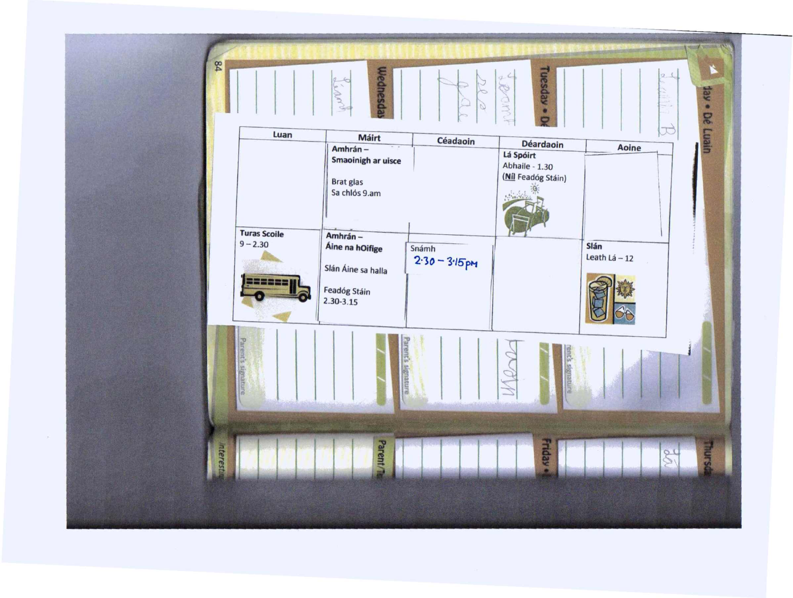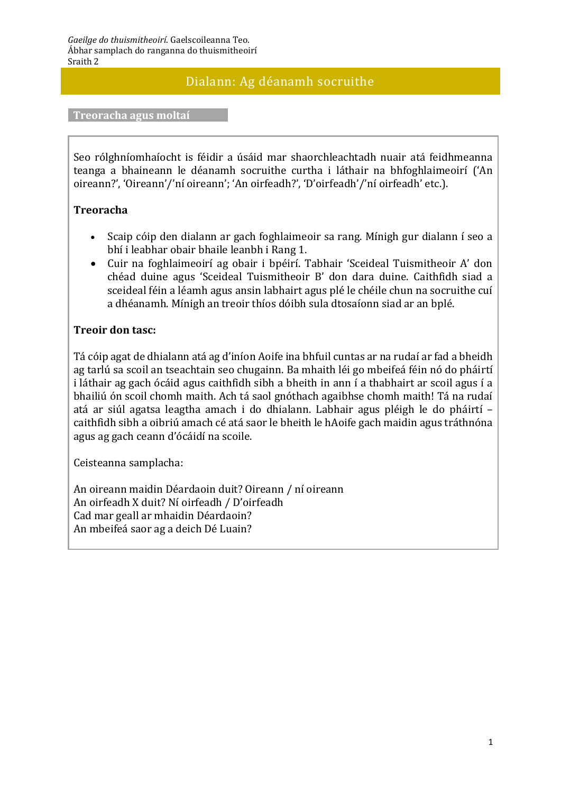## Dialann: Ag déanamh socruithe

**Treoracha agus moltaí**

Seo rólghníomhaíocht is féidir a úsáid mar shaorchleachtadh nuair atá feidhmeanna teanga a bhaineann le déanamh socruithe curtha i láthair na bhfoghlaimeoirí ('An oireann?', 'Oireann'/'ní oireann'; 'An oirfeadh?', 'D'oirfeadh'/'ní oirfeadh' etc.).

## **Treoracha**

- Scaip cóip den dialann ar gach foghlaimeoir sa rang. Mínigh gur dialann í seo a bhí i leabhar obair bhaile leanbh i Rang 1.
- Cuir na foghlaimeoirí ag obair i bpéirí. Tabhair 'Sceideal Tuismitheoir A' don chéad duine agus 'Sceideal Tuismitheoir B' don dara duine. Caithfidh siad a sceideal féin a léamh agus ansin labhairt agus plé le chéile chun na socruithe cuí a dhéanamh. Mínigh an treoir thíos dóibh sula dtosaíonn siad ar an bplé.

## **Treoir don tasc:**

Tá cóip agat de dhialann atá ag d'iníon Aoife ina bhfuil cuntas ar na rudaí ar fad a bheidh ag tarlú sa scoil an tseachtain seo chugainn. Ba mhaith léi go mbeifeá féin nó do pháirtí i láthair ag gach ócáid agus caithfidh sibh a bheith in ann í a thabhairt ar scoil agus í a bhailiú ón scoil chomh maith. Ach tá saol gnóthach agaibhse chomh maith! Tá na rudaí atá ar siúl agatsa leagtha amach i do dhialann. Labhair agus pléigh le do pháirtí – caithfidh sibh a oibriú amach cé atá saor le bheith le hAoife gach maidin agus tráthnóna agus ag gach ceann d'ócáidí na scoile.

Ceisteanna samplacha:

An oireann maidin Déardaoin duit? Oireann / ní oireann An oirfeadh X duit? Ní oirfeadh / D'oirfeadh Cad mar geall ar mhaidin Déardaoin? An mbeifeá saor ag a deich Dé Luain?